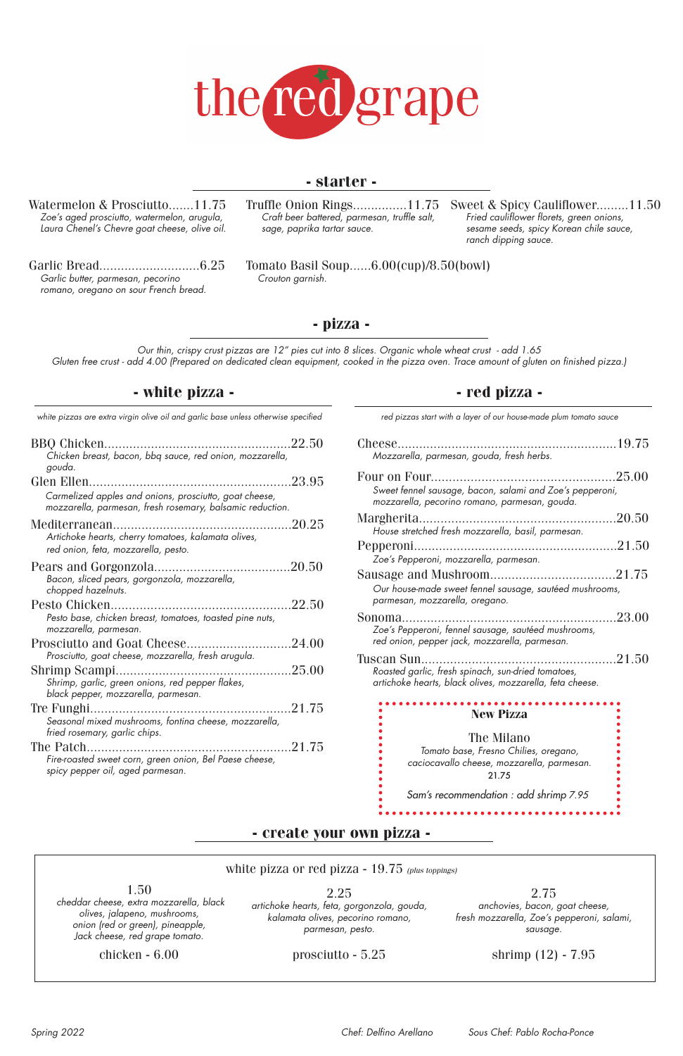Truffle Onion Rings...............11.75 *Craft beer battered, parmesan, truffle salt, sage, paprika tartar sauce.*

Tomato Basil Soup......6.00(cup)/8.50(bowl)

*Crouton garnish.*

# **- starter -**

**- pizza -**

# **- white pizza - - red pizza -**



Watermelon & Prosciutto.......11.75 *Zoe's aged prosciutto, watermelon, arugula, Laura Chenel's Chevre goat cheese, olive oil.*

Garlic Bread............................6.25 *Garlic butter, parmesan, pecorino romano, oregano on sour French bread.*

Sweet & Spicy Cauliflower.........11.50 *Fried cauliflower florets, green onions, sesame seeds, spicy Korean chile sauce, ranch dipping sauce.* 

*Our thin, crispy crust pizzas are 12" pies cut into 8 slices. Organic whole wheat crust - add 1.65 Gluten free crust - add 4.00 (Prepared on dedicated clean equipment, cooked in the pizza oven. Trace amount of gluten on finished pizza.)*

| Mozzarella, parmesan, gouda, fresh herbs.                                                                                    |  |
|------------------------------------------------------------------------------------------------------------------------------|--|
| Sweet fennel sausage, bacon, salami and Zoe's pepperoni,<br>mozzarella, pecorino romano, parmesan, gouda.                    |  |
| House stretched fresh mozzarella, basil, parmesan.                                                                           |  |
| Zoe's Pepperoni, mozzarella, parmesan.                                                                                       |  |
| Our house-made sweet fennel sausage, sautéed mushrooms,<br>parmesan, mozzarella, oregano.                                    |  |
| Zoe's Pepperoni, fennel sausage, sautéed mushrooms,<br>red onion, pepper jack, mozzarella, parmesan.                         |  |
| Tuscan Sun<br>Roasted garlic, fresh spinach, sun-dried tomatoes,<br>artichoke hearts, black olives, mozzarella, feta cheese. |  |
| <b>New Pizza</b>                                                                                                             |  |
| The Milano<br>Tomato base Frosno Chilips, organo                                                                             |  |

 *white pizzas are extra virgin olive oil and garlic base unless otherwise specified red pizzas start with a layer of our house-made plum tomato sauce*



| 22.50<br>BBQ Chicken                                                                                                |  |
|---------------------------------------------------------------------------------------------------------------------|--|
| Chicken breast, bacon, bbq sauce, red onion, mozzarella,                                                            |  |
| gouda.                                                                                                              |  |
|                                                                                                                     |  |
| Carmelized apples and onions, prosciutto, goat cheese,<br>mozzarella, parmesan, fresh rosemary, balsamic reduction. |  |
| Artichoke hearts, cherry tomatoes, kalamata olives,<br>red onion, feta, mozzarella, pesto.                          |  |
| Bacon, sliced pears, gorgonzola, mozzarella,<br>chopped hazelnuts.                                                  |  |
|                                                                                                                     |  |
| Pesto base, chicken breast, tomatoes, toasted pine nuts,<br>mozzarella, parmesan.                                   |  |
| Prosciutto, goat cheese, mozzarella, fresh arugula.                                                                 |  |
| Shrimp, garlic, green onions, red pepper flakes,                                                                    |  |
| black pepper, mozzarella, parmesan.                                                                                 |  |
| Seasonal mixed mushrooms, fontina cheese, mozzarella,<br>fried rosemary, garlic chips.                              |  |
|                                                                                                                     |  |
| Fire-roasted sweet corn, green onion, Bel Paese cheese,<br>spicy pepper oil, aged parmesan.                         |  |

prosciutto - 5.25

chicken - 6.00

shrimp (12) - 7.95

*Spring 2022 Chef: Delfino Arellano Sous Chef: Pablo Rocha-Ponce*

*Tomato base, Fresno Chilies, oregano, caciocavallo cheese, mozzarella, parmesan.*